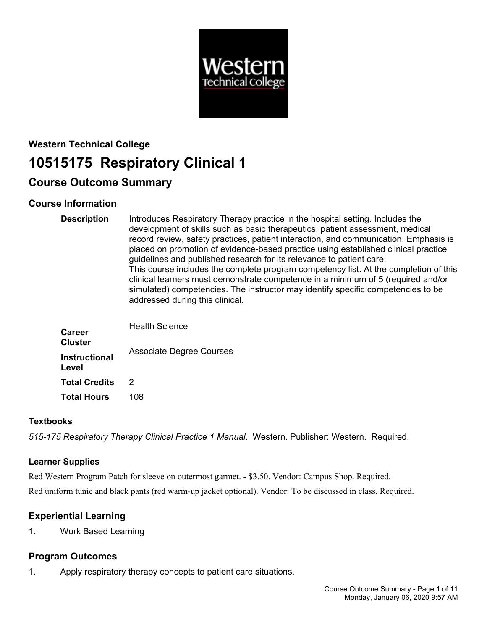

# **Western Technical College 10515175 Respiratory Clinical 1**

# **Course Outcome Summary**

# **Course Information**

| <b>Description</b>              | Introduces Respiratory Therapy practice in the hospital setting. Includes the<br>development of skills such as basic therapeutics, patient assessment, medical<br>record review, safety practices, patient interaction, and communication. Emphasis is<br>placed on promotion of evidence-based practice using established clinical practice<br>guidelines and published research for its relevance to patient care.<br>This course includes the complete program competency list. At the completion of this<br>clinical learners must demonstrate competence in a minimum of 5 (required and/or<br>simulated) competencies. The instructor may identify specific competencies to be<br>addressed during this clinical. |
|---------------------------------|-------------------------------------------------------------------------------------------------------------------------------------------------------------------------------------------------------------------------------------------------------------------------------------------------------------------------------------------------------------------------------------------------------------------------------------------------------------------------------------------------------------------------------------------------------------------------------------------------------------------------------------------------------------------------------------------------------------------------|
| <b>Career</b><br><b>Cluster</b> | <b>Health Science</b>                                                                                                                                                                                                                                                                                                                                                                                                                                                                                                                                                                                                                                                                                                   |
| <b>Instructional</b><br>Level   | <b>Associate Degree Courses</b>                                                                                                                                                                                                                                                                                                                                                                                                                                                                                                                                                                                                                                                                                         |
| <b>Total Credits</b>            | 2                                                                                                                                                                                                                                                                                                                                                                                                                                                                                                                                                                                                                                                                                                                       |

# **Textbooks**

*515-175 Respiratory Therapy Clinical Practice 1 Manual*. Western. Publisher: Western. Required.

# **Learner Supplies**

Red Western Program Patch for sleeve on outermost garmet. - \$3.50. Vendor: Campus Shop. Required. Red uniform tunic and black pants (red warm-up jacket optional). Vendor: To be discussed in class. Required.

# **Experiential Learning**

1. Work Based Learning

**Total Hours** 108

# **Program Outcomes**

1. Apply respiratory therapy concepts to patient care situations.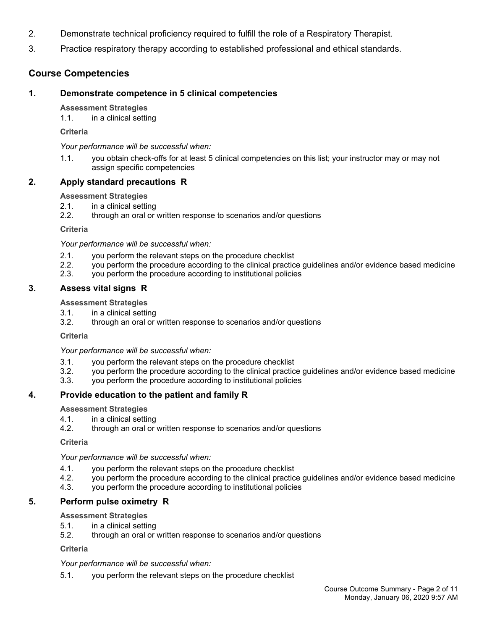- 2. Demonstrate technical proficiency required to fulfill the role of a Respiratory Therapist.
- 3. Practice respiratory therapy according to established professional and ethical standards.

# **Course Competencies**

# **1. Demonstrate competence in 5 clinical competencies**

### **Assessment Strategies**

1.1. in a clinical setting

**Criteria**

*Your performance will be successful when:*

1.1. you obtain check-offs for at least 5 clinical competencies on this list; your instructor may or may not assign specific competencies

# **2. Apply standard precautions R**

## **Assessment Strategies**

- 2.1. in a clinical setting
- 2.2. through an oral or written response to scenarios and/or questions

**Criteria**

*Your performance will be successful when:*

- 2.1. you perform the relevant steps on the procedure checklist
- 2.2. you perform the procedure according to the clinical practice guidelines and/or evidence based medicine
- 2.3. you perform the procedure according to institutional policies

# **3. Assess vital signs R**

**Assessment Strategies**

- 3.1. in a clinical setting
- 3.2. through an oral or written response to scenarios and/or questions

**Criteria**

*Your performance will be successful when:*

- 3.1. you perform the relevant steps on the procedure checklist
- 3.2. you perform the procedure according to the clinical practice guidelines and/or evidence based medicine
- 3.3. you perform the procedure according to institutional policies

# **4. Provide education to the patient and family R**

**Assessment Strategies**

- 4.1. in a clinical setting
- 4.2. through an oral or written response to scenarios and/or questions

**Criteria**

*Your performance will be successful when:*

- 4.1. you perform the relevant steps on the procedure checklist
- 4.2. you perform the procedure according to the clinical practice guidelines and/or evidence based medicine
- 4.3. you perform the procedure according to institutional policies

# **5. Perform pulse oximetry R**

### **Assessment Strategies**

- 5.1. in a clinical setting
- 5.2. through an oral or written response to scenarios and/or questions

**Criteria**

*Your performance will be successful when:*

5.1. you perform the relevant steps on the procedure checklist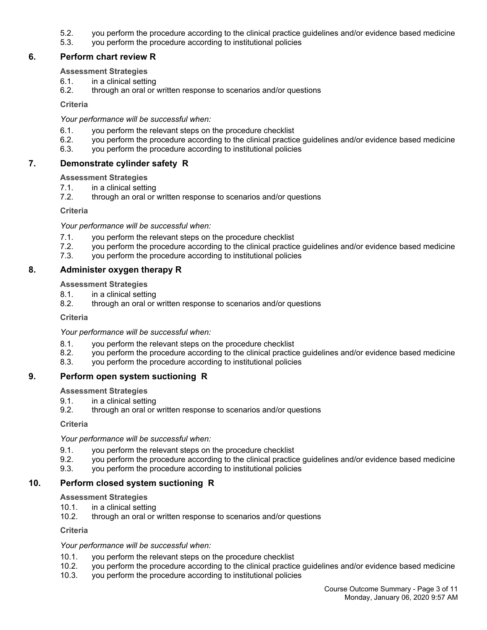- 5.2. you perform the procedure according to the clinical practice guidelines and/or evidence based medicine
- 5.3. you perform the procedure according to institutional policies

# **6. Perform chart review R**

#### **Assessment Strategies**

- 6.1. in a clinical setting
- 6.2. through an oral or written response to scenarios and/or questions

**Criteria**

#### *Your performance will be successful when:*

- 6.1. you perform the relevant steps on the procedure checklist
- 6.2. you perform the procedure according to the clinical practice guidelines and/or evidence based medicine
- 6.3. you perform the procedure according to institutional policies

## **7. Demonstrate cylinder safety R**

#### **Assessment Strategies**

- 7.1. in a clinical setting<br>7.2. through an oral or
- through an oral or written response to scenarios and/or questions

**Criteria**

*Your performance will be successful when:*

- 7.1. you perform the relevant steps on the procedure checklist
- 7.2. you perform the procedure according to the clinical practice guidelines and/or evidence based medicine
- 7.3. you perform the procedure according to institutional policies

## **8. Administer oxygen therapy R**

#### **Assessment Strategies**

- 8.1. in a clinical setting
- 8.2. through an oral or written response to scenarios and/or questions

**Criteria**

*Your performance will be successful when:*

- 8.1. you perform the relevant steps on the procedure checklist
- 8.2. you perform the procedure according to the clinical practice guidelines and/or evidence based medicine
- 8.3. you perform the procedure according to institutional policies

### **9. Perform open system suctioning R**

#### **Assessment Strategies**

- 9.1. in a clinical setting
- 9.2. through an oral or written response to scenarios and/or questions

**Criteria**

*Your performance will be successful when:*

- 9.1. you perform the relevant steps on the procedure checklist
- 9.2. you perform the procedure according to the clinical practice guidelines and/or evidence based medicine
- 9.3. you perform the procedure according to institutional policies

### **10. Perform closed system suctioning R**

#### **Assessment Strategies**

- 10.1. in a clinical setting
- 10.2. through an oral or written response to scenarios and/or questions

**Criteria**

- 10.1. you perform the relevant steps on the procedure checklist
- 10.2. you perform the procedure according to the clinical practice guidelines and/or evidence based medicine
- 10.3. you perform the procedure according to institutional policies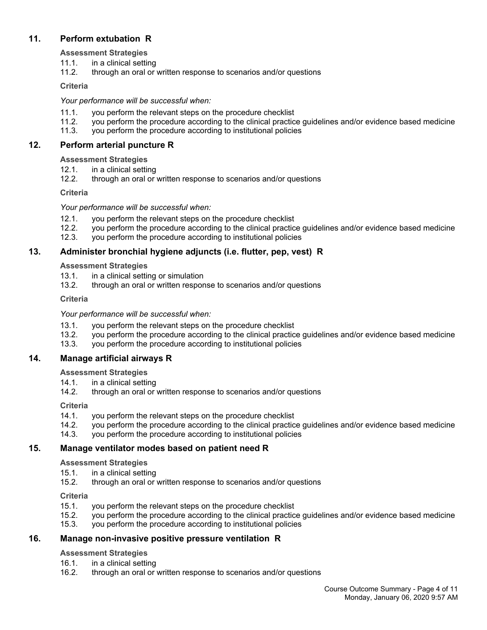# **11. Perform extubation R**

**Assessment Strategies**

- 11.1. in a clinical setting
- 11.2. through an oral or written response to scenarios and/or questions

## **Criteria**

# *Your performance will be successful when:*

- 11.1. you perform the relevant steps on the procedure checklist
- 11.2. you perform the procedure according to the clinical practice guidelines and/or evidence based medicine
- 11.3. you perform the procedure according to institutional policies

# **12. Perform arterial puncture R**

## **Assessment Strategies**

- 12.1. in a clinical setting
- 12.2. through an oral or written response to scenarios and/or questions

## **Criteria**

## *Your performance will be successful when:*

- 12.1. you perform the relevant steps on the procedure checklist 12.2. vou perform the procedure according to the clinical practic
- 12.2. you perform the procedure according to the clinical practice guidelines and/or evidence based medicine
- 12.3. you perform the procedure according to institutional policies

# **13. Administer bronchial hygiene adjuncts (i.e. flutter, pep, vest) R**

## **Assessment Strategies**

- 13.1. in a clinical setting or simulation
- 13.2. through an oral or written response to scenarios and/or questions

## **Criteria**

*Your performance will be successful when:*

- 13.1. you perform the relevant steps on the procedure checklist
- 13.2. you perform the procedure according to the clinical practice guidelines and/or evidence based medicine
- 13.3. you perform the procedure according to institutional policies

# **14. Manage artificial airways R**

### **Assessment Strategies**

- 14.1. in a clinical setting
- 14.2. through an oral or written response to scenarios and/or questions

# **Criteria**

- 14.1. you perform the relevant steps on the procedure checklist
- 14.2. you perform the procedure according to the clinical practice guidelines and/or evidence based medicine
- 14.3. you perform the procedure according to institutional policies

# **15. Manage ventilator modes based on patient need R**

### **Assessment Strategies**

- 15.1. in a clinical setting
- 15.2. through an oral or written response to scenarios and/or questions

# **Criteria**

- 15.1. you perform the relevant steps on the procedure checklist
- 15.2. you perform the procedure according to the clinical practice guidelines and/or evidence based medicine
- 15.3. you perform the procedure according to institutional policies

# **16. Manage non-invasive positive pressure ventilation R**

### **Assessment Strategies**

- 16.1. in a clinical setting
- 16.2. through an oral or written response to scenarios and/or questions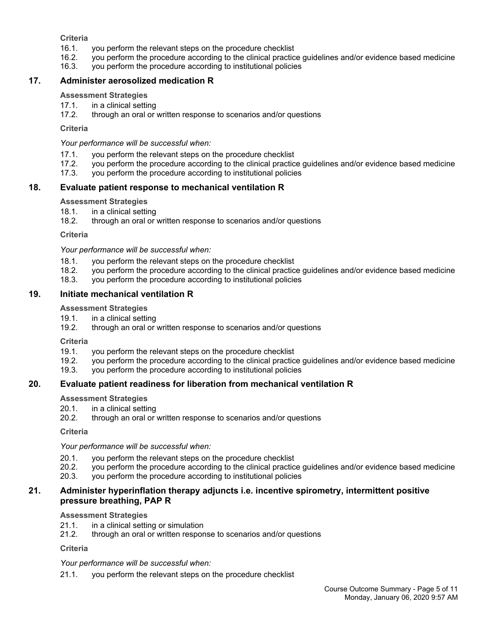**Criteria**

- 16.1. you perform the relevant steps on the procedure checklist
- 16.2. you perform the procedure according to the clinical practice guidelines and/or evidence based medicine
- 16.3. you perform the procedure according to institutional policies

## **17. Administer aerosolized medication R**

#### **Assessment Strategies**

- 17.1. in a clinical setting<br>17.2. through an oral or
- through an oral or written response to scenarios and/or questions

#### **Criteria**

*Your performance will be successful when:*

- 17.1. you perform the relevant steps on the procedure checklist
- 17.2. you perform the procedure according to the clinical practice guidelines and/or evidence based medicine
- 17.3. you perform the procedure according to institutional policies

### **18. Evaluate patient response to mechanical ventilation R**

#### **Assessment Strategies**

- 18.1. in a clinical setting
- 18.2. through an oral or written response to scenarios and/or questions

**Criteria**

*Your performance will be successful when:*

- 18.1. you perform the relevant steps on the procedure checklist
- 18.2. you perform the procedure according to the clinical practice guidelines and/or evidence based medicine
- 18.3. you perform the procedure according to institutional policies

### **19. Initiate mechanical ventilation R**

#### **Assessment Strategies**

- 19.1. in a clinical setting
- 19.2. through an oral or written response to scenarios and/or questions

**Criteria**

- 19.1. you perform the relevant steps on the procedure checklist
- 19.2. you perform the procedure according to the clinical practice guidelines and/or evidence based medicine
- 19.3. you perform the procedure according to institutional policies

### **20. Evaluate patient readiness for liberation from mechanical ventilation R**

**Assessment Strategies**

- 20.1. in a clinical setting
- 20.2. through an oral or written response to scenarios and/or questions

**Criteria**

*Your performance will be successful when:*

- 20.1. you perform the relevant steps on the procedure checklist
- 20.2. you perform the procedure according to the clinical practice guidelines and/or evidence based medicine
- 20.3. you perform the procedure according to institutional policies

### **21. Administer hyperinflation therapy adjuncts i.e. incentive spirometry, intermittent positive pressure breathing, PAP R**

#### **Assessment Strategies**

- 21.1. in a clinical setting or simulation
- 21.2. through an oral or written response to scenarios and/or questions

**Criteria**

*Your performance will be successful when:*

21.1. you perform the relevant steps on the procedure checklist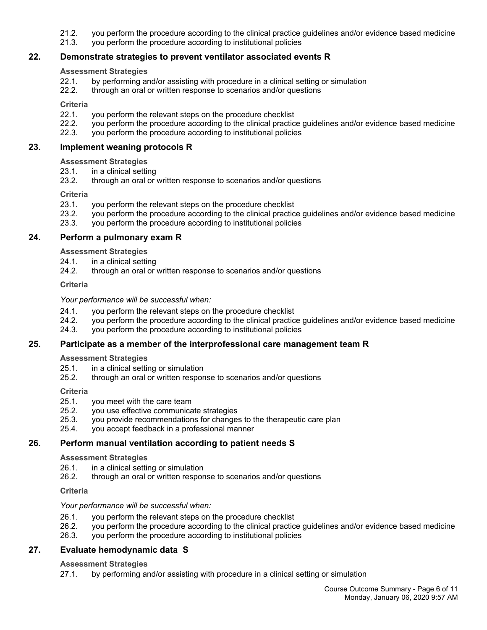- 21.2. you perform the procedure according to the clinical practice guidelines and/or evidence based medicine
- 21.3. you perform the procedure according to institutional policies

### **22. Demonstrate strategies to prevent ventilator associated events R**

#### **Assessment Strategies**

- 22.1. by performing and/or assisting with procedure in a clinical setting or simulation
- 22.2. through an oral or written response to scenarios and/or questions

#### **Criteria**

- 22.1. you perform the relevant steps on the procedure checklist
- 22.2. you perform the procedure according to the clinical practice guidelines and/or evidence based medicine
- 22.3. you perform the procedure according to institutional policies

#### **23. Implement weaning protocols R**

#### **Assessment Strategies**

- 23.1. in a clinical setting
- 23.2. through an oral or written response to scenarios and/or questions

#### **Criteria**

- 23.1. you perform the relevant steps on the procedure checklist
- 23.2. you perform the procedure according to the clinical practice guidelines and/or evidence based medicine
- 23.3. you perform the procedure according to institutional policies

#### **24. Perform a pulmonary exam R**

**Assessment Strategies**

- 24.1. in a clinical setting
- 24.2. through an oral or written response to scenarios and/or questions

**Criteria**

#### *Your performance will be successful when:*

- 24.1. you perform the relevant steps on the procedure checklist
- 24.2. you perform the procedure according to the clinical practice guidelines and/or evidence based medicine
- 24.3. you perform the procedure according to institutional policies

### **25. Participate as a member of the interprofessional care management team R**

#### **Assessment Strategies**

- 25.1. in a clinical setting or simulation<br>25.2. through an oral or written respor
- 25.2. through an oral or written response to scenarios and/or questions

#### **Criteria**

- 25.1. you meet with the care team
- 25.2. you use effective communicate strategies
- 25.3. you provide recommendations for changes to the therapeutic care plan
- 25.4. you accept feedback in a professional manner

# **26. Perform manual ventilation according to patient needs S**

# **Assessment Strategies**

- 26.1. in a clinical setting or simulation
- 26.2. through an oral or written response to scenarios and/or questions

# **Criteria**

# *Your performance will be successful when:*

- 26.1. you perform the relevant steps on the procedure checklist
- 26.2. you perform the procedure according to the clinical practice guidelines and/or evidence based medicine
- 26.3. you perform the procedure according to institutional policies

# **27. Evaluate hemodynamic data S**

# **Assessment Strategies**

27.1. by performing and/or assisting with procedure in a clinical setting or simulation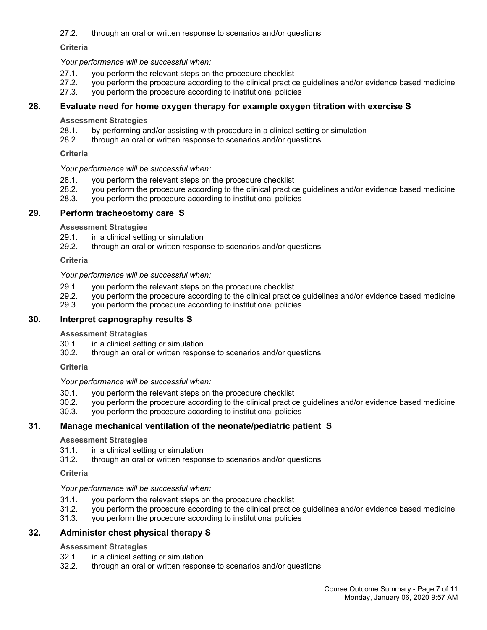27.2. through an oral or written response to scenarios and/or questions

**Criteria**

*Your performance will be successful when:*

- 27.1. you perform the relevant steps on the procedure checklist
- 27.2. you perform the procedure according to the clinical practice guidelines and/or evidence based medicine
- 27.3. you perform the procedure according to institutional policies

# **28. Evaluate need for home oxygen therapy for example oxygen titration with exercise S**

**Assessment Strategies**

- 28.1. by performing and/or assisting with procedure in a clinical setting or simulation 28.2. through an oral or written response to scenarios and/or questions
- through an oral or written response to scenarios and/or questions

**Criteria**

*Your performance will be successful when:*

- 28.1. you perform the relevant steps on the procedure checklist
- 28.2. you perform the procedure according to the clinical practice guidelines and/or evidence based medicine
- 28.3. you perform the procedure according to institutional policies

# **29. Perform tracheostomy care S**

**Assessment Strategies**

- 29.1. in a clinical setting or simulation
- 29.2. through an oral or written response to scenarios and/or questions

**Criteria**

*Your performance will be successful when:*

- 29.1. you perform the relevant steps on the procedure checklist
- 29.2. you perform the procedure according to the clinical practice guidelines and/or evidence based medicine
- 29.3. you perform the procedure according to institutional policies

# **30. Interpret capnography results S**

### **Assessment Strategies**

- 30.1. in a clinical setting or simulation
- 30.2. through an oral or written response to scenarios and/or questions

**Criteria**

*Your performance will be successful when:*

- 30.1. you perform the relevant steps on the procedure checklist<br>30.2. you perform the procedure according to the clinical practic
- 30.2. you perform the procedure according to the clinical practice guidelines and/or evidence based medicine
- 30.3. you perform the procedure according to institutional policies

# **31. Manage mechanical ventilation of the neonate/pediatric patient S**

### **Assessment Strategies**

- 31.1. in a clinical setting or simulation
- 31.2. through an oral or written response to scenarios and/or questions

**Criteria**

# *Your performance will be successful when:*

- 31.1. you perform the relevant steps on the procedure checklist
- 31.2. you perform the procedure according to the clinical practice guidelines and/or evidence based medicine
- 31.3. you perform the procedure according to institutional policies

# **32. Administer chest physical therapy S**

### **Assessment Strategies**

- 32.1. in a clinical setting or simulation
- 32.2. through an oral or written response to scenarios and/or questions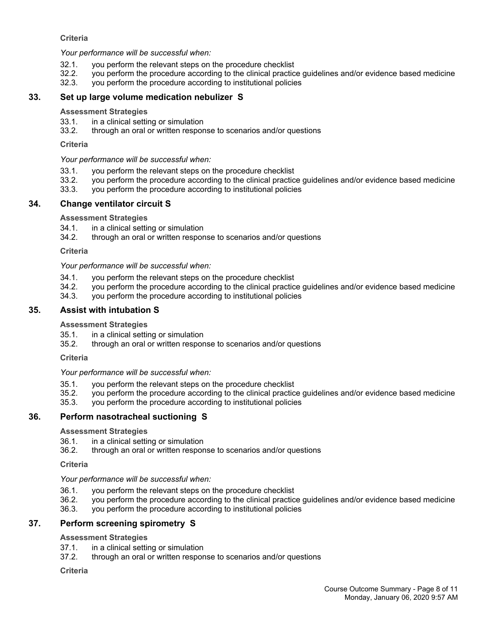### **Criteria**

*Your performance will be successful when:*

- 32.1. you perform the relevant steps on the procedure checklist
- 32.2. you perform the procedure according to the clinical practice guidelines and/or evidence based medicine
- 32.3. you perform the procedure according to institutional policies

#### **33. Set up large volume medication nebulizer S**

#### **Assessment Strategies**

- 33.1. in a clinical setting or simulation
- 33.2. through an oral or written response to scenarios and/or questions

#### **Criteria**

#### *Your performance will be successful when:*

- 33.1. you perform the relevant steps on the procedure checklist
- 33.2. you perform the procedure according to the clinical practice guidelines and/or evidence based medicine
- 33.3. you perform the procedure according to institutional policies

### **34. Change ventilator circuit S**

#### **Assessment Strategies**

- 34.1. in a clinical setting or simulation
- 34.2. through an oral or written response to scenarios and/or questions

#### **Criteria**

#### *Your performance will be successful when:*

- 34.1. you perform the relevant steps on the procedure checklist
- 34.2. you perform the procedure according to the clinical practice guidelines and/or evidence based medicine
- 34.3. you perform the procedure according to institutional policies

#### **35. Assist with intubation S**

#### **Assessment Strategies**

- 35.1. in a clinical setting or simulation
- 35.2. through an oral or written response to scenarios and/or questions

#### **Criteria**

### *Your performance will be successful when:*

- 35.1. you perform the relevant steps on the procedure checklist
- 35.2. you perform the procedure according to the clinical practice guidelines and/or evidence based medicine
- you perform the procedure according to institutional policies

### **36. Perform nasotracheal suctioning S**

#### **Assessment Strategies**

- 36.1. in a clinical setting or simulation
- 36.2. through an oral or written response to scenarios and/or questions

#### **Criteria**

### *Your performance will be successful when:*

- 36.1. you perform the relevant steps on the procedure checklist
- 36.2. you perform the procedure according to the clinical practice guidelines and/or evidence based medicine
- 36.3. you perform the procedure according to institutional policies

### **37. Perform screening spirometry S**

#### **Assessment Strategies**

- 37.1. in a clinical setting or simulation
- 37.2. through an oral or written response to scenarios and/or questions

#### **Criteria**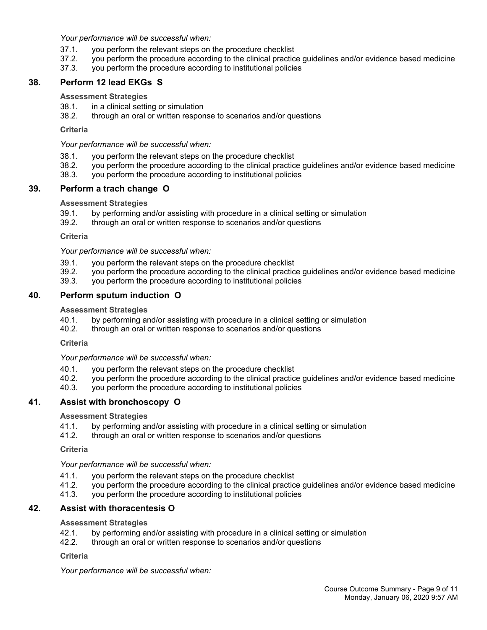*Your performance will be successful when:*

- 37.1. you perform the relevant steps on the procedure checklist
- 37.2. you perform the procedure according to the clinical practice guidelines and/or evidence based medicine
- 37.3. you perform the procedure according to institutional policies

## **38. Perform 12 lead EKGs S**

#### **Assessment Strategies**

- 38.1. in a clinical setting or simulation
- 38.2. through an oral or written response to scenarios and/or questions

#### **Criteria**

*Your performance will be successful when:*

- 38.1. you perform the relevant steps on the procedure checklist
- 38.2. you perform the procedure according to the clinical practice guidelines and/or evidence based medicine
- 38.3. you perform the procedure according to institutional policies

## **39. Perform a trach change O**

#### **Assessment Strategies**

- 39.1. by performing and/or assisting with procedure in a clinical setting or simulation
- 39.2. through an oral or written response to scenarios and/or questions

#### **Criteria**

*Your performance will be successful when:*

- 39.1. you perform the relevant steps on the procedure checklist
- 39.2. you perform the procedure according to the clinical practice guidelines and/or evidence based medicine
- 39.3. you perform the procedure according to institutional policies

## **40. Perform sputum induction O**

#### **Assessment Strategies**

- 40.1. by performing and/or assisting with procedure in a clinical setting or simulation<br>40.2. through an oral or written response to scenarios and/or questions
- through an oral or written response to scenarios and/or questions

#### **Criteria**

*Your performance will be successful when:*

- 40.1. you perform the relevant steps on the procedure checklist
- 40.2. you perform the procedure according to the clinical practice guidelines and/or evidence based medicine
- 40.3. you perform the procedure according to institutional policies

# **41. Assist with bronchoscopy O**

### **Assessment Strategies**

- 41.1. by performing and/or assisting with procedure in a clinical setting or simulation
- 41.2. through an oral or written response to scenarios and/or questions

#### **Criteria**

### *Your performance will be successful when:*

- 41.1. you perform the relevant steps on the procedure checklist
- 41.2. you perform the procedure according to the clinical practice guidelines and/or evidence based medicine
- 41.3. you perform the procedure according to institutional policies

## **42. Assist with thoracentesis O**

#### **Assessment Strategies**

- 42.1. by performing and/or assisting with procedure in a clinical setting or simulation
- 42.2. through an oral or written response to scenarios and/or questions

**Criteria**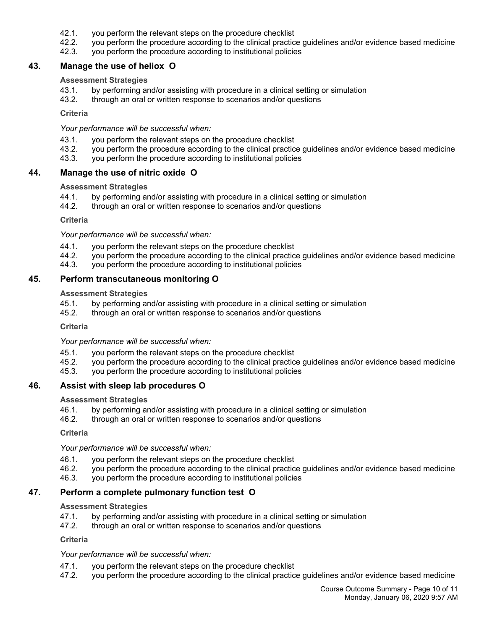- 42.1. you perform the relevant steps on the procedure checklist
- 42.2. you perform the procedure according to the clinical practice guidelines and/or evidence based medicine
- 42.3. you perform the procedure according to institutional policies

#### **43. Manage the use of heliox O**

#### **Assessment Strategies**

- 43.1. by performing and/or assisting with procedure in a clinical setting or simulation
- 43.2. through an oral or written response to scenarios and/or questions

#### **Criteria**

*Your performance will be successful when:*

- 43.1. you perform the relevant steps on the procedure checklist
- 43.2. you perform the procedure according to the clinical practice guidelines and/or evidence based medicine
- 43.3. you perform the procedure according to institutional policies

### **44. Manage the use of nitric oxide O**

#### **Assessment Strategies**

- 44.1. by performing and/or assisting with procedure in a clinical setting or simulation
- 44.2. through an oral or written response to scenarios and/or questions

#### **Criteria**

*Your performance will be successful when:*

- 44.1. you perform the relevant steps on the procedure checklist<br>44.2. you perform the procedure according to the clinical practic
- 44.2. you perform the procedure according to the clinical practice guidelines and/or evidence based medicine
- 44.3. you perform the procedure according to institutional policies

### **45. Perform transcutaneous monitoring O**

#### **Assessment Strategies**

- 45.1. by performing and/or assisting with procedure in a clinical setting or simulation
- 45.2. through an oral or written response to scenarios and/or questions

**Criteria**

*Your performance will be successful when:*

- 45.1. you perform the relevant steps on the procedure checklist
- 45.2. you perform the procedure according to the clinical practice guidelines and/or evidence based medicine
- 45.3. you perform the procedure according to institutional policies

### **46. Assist with sleep lab procedures O**

#### **Assessment Strategies**

- 46.1. by performing and/or assisting with procedure in a clinical setting or simulation
- 46.2. through an oral or written response to scenarios and/or questions

**Criteria**

*Your performance will be successful when:*

- 46.1. you perform the relevant steps on the procedure checklist
- 46.2. you perform the procedure according to the clinical practice guidelines and/or evidence based medicine
- 46.3. you perform the procedure according to institutional policies

### **47. Perform a complete pulmonary function test O**

#### **Assessment Strategies**

- 47.1. by performing and/or assisting with procedure in a clinical setting or simulation
- 47.2. through an oral or written response to scenarios and/or questions

**Criteria**

- 47.1. you perform the relevant steps on the procedure checklist
- 47.2. you perform the procedure according to the clinical practice guidelines and/or evidence based medicine